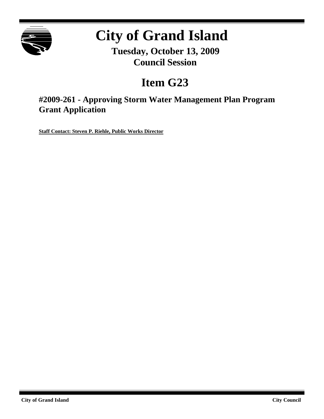

# **City of Grand Island**

**Tuesday, October 13, 2009 Council Session**

## **Item G23**

**#2009-261 - Approving Storm Water Management Plan Program Grant Application**

**Staff Contact: Steven P. Riehle, Public Works Director**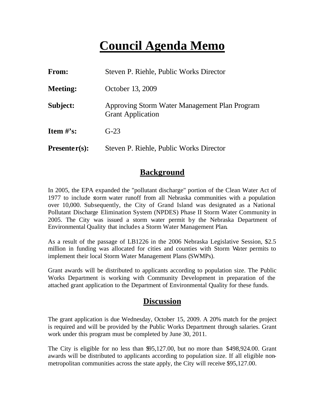## **Council Agenda Memo**

| <b>From:</b>    | Steven P. Riehle, Public Works Director                                   |  |
|-----------------|---------------------------------------------------------------------------|--|
| <b>Meeting:</b> | October 13, 2009                                                          |  |
| Subject:        | Approving Storm Water Management Plan Program<br><b>Grant Application</b> |  |
| Item $\#$ 's:   | $G-23$                                                                    |  |
| $Presenter(s):$ | Steven P. Riehle, Public Works Director                                   |  |

### **Background**

In 2005, the EPA expanded the "pollutant discharge" portion of the Clean Water Act of 1977 to include storm water runoff from all Nebraska communities with a population over 10,000. Subsequently, the City of Grand Island was designated as a National Pollutant Discharge Elimination System (NPDES) Phase II Storm Water Community in 2005. The City was issued a storm water permit by the Nebraska Department of Environmental Quality that includes a Storm Water Management Plan.

As a result of the passage of LB1226 in the 2006 Nebraska Legislative Session, \$2.5 million in funding was allocated for cities and counties with Storm Water permits to implement their local Storm Water Management Plans (SWMPs).

Grant awards will be distributed to applicants according to population size. The Public Works Department is working with Community Development in preparation of the attached grant application to the Department of Environmental Quality for these funds.

#### **Discussion**

The grant application is due Wednesday, October 15, 2009. A 20% match for the project is required and will be provided by the Public Works Department through salaries. Grant work under this program must be completed by June 30, 2011.

The City is eligible for no less than \$95,127.00, but no more than \$498,924.00. Grant awards will be distributed to applicants according to population size. If all eligible nonmetropolitan communities across the state apply, the City will receive \$95,127.00.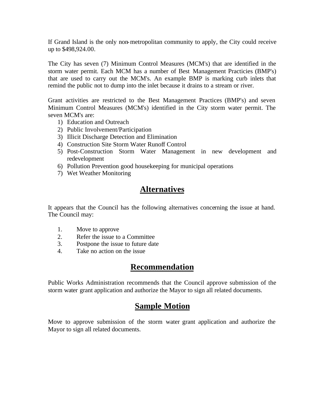If Grand Island is the only non-metropolitan community to apply, the City could receive up to \$498,924.00.

The City has seven (7) Minimum Control Measures (MCM's) that are identified in the storm water permit. Each MCM has a number of Best Management Practicies (BMP's) that are used to carry out the MCM's. An example BMP is marking curb inlets that remind the public not to dump into the inlet because it drains to a stream or river.

Grant activities are restricted to the Best Management Practices (BMP's) and seven Minimum Control Measures (MCM's) identified in the City storm water permit. The seven MCM's are:

- 1) Education and Outreach
- 2) Public Involvement/Participation
- 3) Illicit Discharge Detection and Elimination
- 4) Construction Site Storm Water Runoff Control
- 5) Post-Construction Storm Water Management in new development and redevelopment
- 6) Pollution Prevention good housekeeping for municipal operations
- 7) Wet Weather Monitoring

#### **Alternatives**

It appears that the Council has the following alternatives concerning the issue at hand. The Council may:

- 1. Move to approve
- 2. Refer the issue to a Committee
- 3. Postpone the issue to future date
- 4. Take no action on the issue

#### **Recommendation**

Public Works Administration recommends that the Council approve submission of the storm water grant application and authorize the Mayor to sign all related documents.

#### **Sample Motion**

Move to approve submission of the storm water grant application and authorize the Mayor to sign all related documents.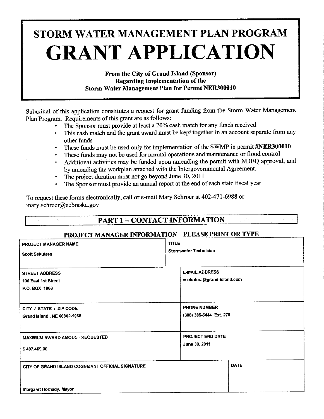# STORM WATER MANAGEMENT PLAN PROGRAM **GRANT APPLICATION**

From the City of Grand Island (Sponsor) **Regarding Implementation of the Storm Water Management Plan for Permit NER300010** 

Submittal of this application constitutes a request for grant funding from the Storm Water Management Plan Program. Requirements of this grant are as follows:

- The Sponsor must provide at least a 20% cash match for any funds received
- This cash match and the grant award must be kept together in an account separate from any other funds
- These funds must be used only for implementation of the SWMP in permit #NER300010
- These funds may not be used for normal operations and maintenance or flood control  $\ddot{\bullet}$
- Additional activities may be funded upon amending the permit with NDEQ approval, and by amending the workplan attached with the Intergovernmental Agreement.
- The project duration must not go beyond June 30, 2011
- The Sponsor must provide an annual report at the end of each state fiscal year

To request these forms electronically, call or e-mail Mary Schroer at 402-471-6988 or mary.schroer@nebraska.gov

### **PART 1 - CONTACT INFORMATION**

#### **PROJECT MANAGER INFORMATION - PLEASE PRINT OR TYPE**

| PROJECT MANAGER NAME                                                         | <b>TITLE</b>                                        |  |
|------------------------------------------------------------------------------|-----------------------------------------------------|--|
| <b>Scott Sekutera</b>                                                        | <b>Stormwater Technician</b>                        |  |
| <b>STREET ADDRESS</b><br>100 East 1st Street<br>P.O. BOX 1968                | <b>E-MAIL ADDRESS</b><br>ssekutera@grand-island.com |  |
| CITY / STATE / ZIP CODE                                                      | <b>PHONE NUMBER</b>                                 |  |
| Grand Island, NE 68802-1968                                                  | (308) 385-5444 Ext. 270                             |  |
| <b>MAXIMUM AWARD AMOUNT REQUESTED</b>                                        | PROJECT END DATE                                    |  |
| \$497,469.00                                                                 | June 30, 2011                                       |  |
| CITY OF GRAND ISLAND COGNIZANT OFFICIAL SIGNATURE<br>Margaret Hornady, Mayor | <b>DATE</b>                                         |  |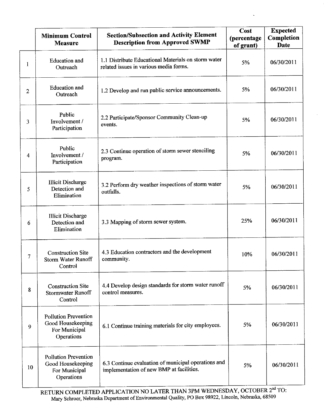|    | <b>Minimum Control</b><br><b>Measure</b>                                        | <b>Section/Subsection and Activity Element</b><br><b>Description from Approved SWMP</b>         | Cost<br>(percentage<br>of grant) | <b>Expected</b><br>Completion<br><b>Date</b> |
|----|---------------------------------------------------------------------------------|-------------------------------------------------------------------------------------------------|----------------------------------|----------------------------------------------|
| 1  | <b>Education</b> and<br>Outreach                                                | 1.1 Distribute Educational Materials on storm water<br>related issues in various media forms.   | 5%                               | 06/30/2011                                   |
| 2  | <b>Education</b> and<br>Outreach                                                | 1.2 Develop and run public service announcements.                                               | 5%                               | 06/30/2011                                   |
| 3  | Public<br>Involvement /<br>Participation                                        | 2.2 Participate/Sponsor Community Clean-up<br>events.                                           | 5%                               | 06/30/2011                                   |
| 4  | Public<br>Involvement /<br>Participation                                        | 2.3 Continue operation of storm sewer stenciling<br>program.                                    | 5%                               | 06/30/2011                                   |
| 5  | <b>Illicit Discharge</b><br>Detection and<br>Elimination                        | 3.2 Perform dry weather inspections of storm water<br>outfalls.                                 | 5%                               | 06/30/2011                                   |
| 6  | <b>Illicit Discharge</b><br>Detection and<br>Elimination                        | 3.3 Mapping of storm sewer system.                                                              | 25%                              | 06/30/2011                                   |
| 7  | <b>Construction Site</b><br><b>Storm Water Runoff</b><br>Control                | 4.3 Education contractors and the development<br>community.                                     | 10%                              | 06/30/2011                                   |
| 8  | <b>Construction Site</b><br><b>Stormwater Runoff</b><br>Control                 | 4.4 Develop design standards for storm water runoff<br>control measures.                        | 5%                               | 06/30/2011                                   |
| 9  | <b>Pollution Prevention</b><br>Good Housekeeping<br>For Municipal<br>Operations | 6.1 Continue training materials for city employees.                                             | 5%                               | 06/30/2011                                   |
| 10 | <b>Pollution Prevention</b><br>Good Housekeeping<br>For Municipal<br>Operations | 6.3 Continue evaluation of municipal operations and<br>implementation of new BMP at facilities. | 5%                               | 06/30/2011                                   |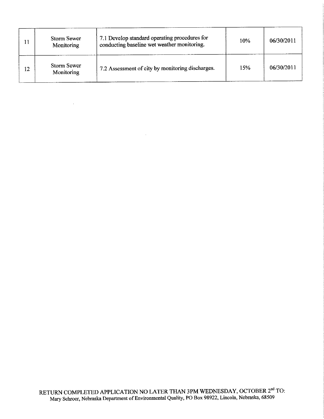|    | <b>Storm Sewer</b><br>Monitoring | 7.1 Develop standard operating procedures for<br>conducting baseline wet weather monitoring. | 10% | 06/30/2011 |
|----|----------------------------------|----------------------------------------------------------------------------------------------|-----|------------|
| 12 | Storm Sewer<br>Monitoring        | 7.2 Assessment of city by monitoring discharges.                                             | 15% | 06/30/2011 |